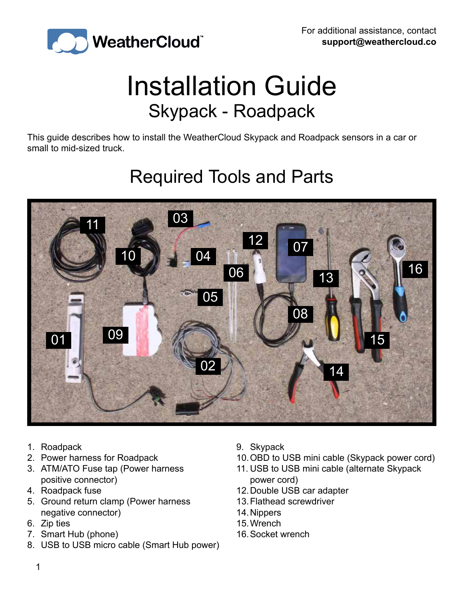

### Installation Guide Skypack - Roadpack

This guide describes how to install the WeatherCloud Skypack and Roadpack sensors in a car or small to mid-sized truck.

#### Required Tools and Parts



- 1. Roadpack
- 2. Power harness for Roadpack
- 3. ATM/ATO Fuse tap (Power harness positive connector)
- 4. Roadpack fuse
- 5. Ground return clamp (Power harness negative connector)
- 6. Zip ties
- 7. Smart Hub (phone)
- 8. USB to USB micro cable (Smart Hub power)
- 9. Skypack
- 10.OBD to USB mini cable (Skypack power cord)
- 11. USB to USB mini cable (alternate Skypack power cord)
- 12.Double USB car adapter
- 13.Flathead screwdriver
- 14.Nippers
- 15.Wrench
- 16.Socket wrench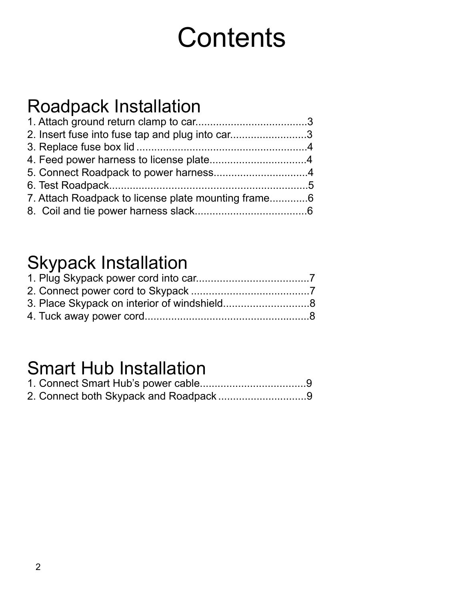## **Contents**

#### Roadpack Installation

| 2. Insert fuse into fuse tap and plug into car3 |  |
|-------------------------------------------------|--|
|                                                 |  |
|                                                 |  |
|                                                 |  |
|                                                 |  |
|                                                 |  |
|                                                 |  |
|                                                 |  |

#### Skypack Installation

#### Smart Hub Installation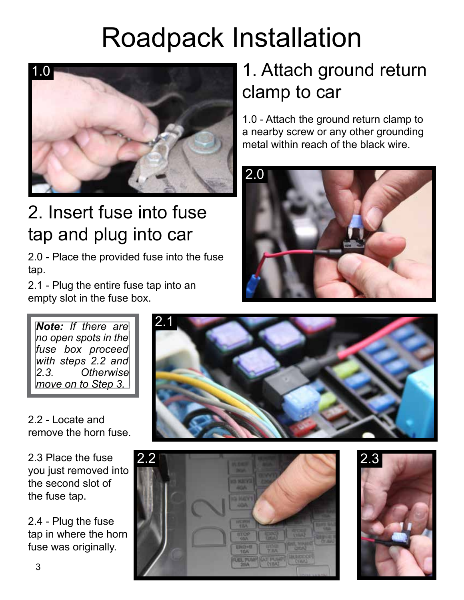## Roadpack Installation



#### 2. Insert fuse into fuse tap and plug into car

2.0 - Place the provided fuse into the fuse tap.

2.1 - Plug the entire fuse tap into an empty slot in the fuse box.

### 1. Attach ground return clamp to car

1.0 - Attach the ground return clamp to a nearby screw or any other grounding metal within reach of the black wire.



*Note: If there are no open spots in the*  fuse box proceed *with steps 2.2 and 2.3. Otherwise move on to Step 3.*

2.2 - Locate and remove the horn fuse.

2.3 Place the fuse you just removed into the second slot of the fuse tap.

2.4 - Plug the fuse tap in where the horn fuse was originally.





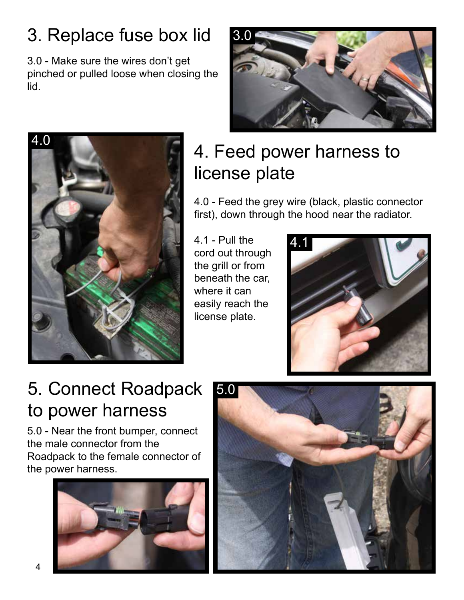### 3. Replace fuse box lid

3.0 - Make sure the wires don't get pinched or pulled loose when closing the lid.





#### 4. Feed power harness to license plate

4.0 - Feed the grey wire (black, plastic connector first), down through the hood near the radiator.

4.1 - Pull the cord out through the grill or from beneath the car, where it can easily reach the license plate.



#### 5. Connect Roadpack to power harness

5.0 - Near the front bumper, connect the male connector from the Roadpack to the female connector of the power harness.



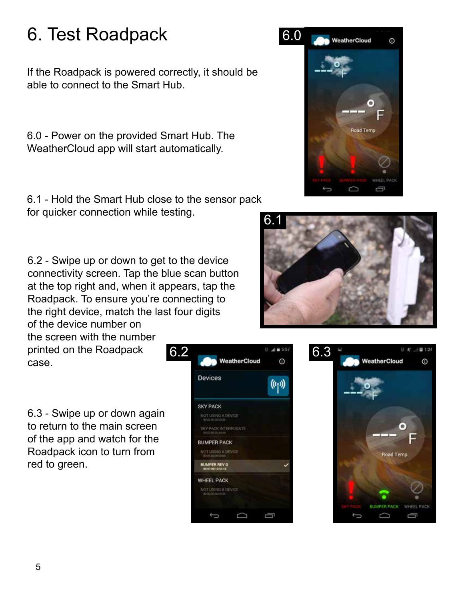#### 6. Test Roadpack

If the Roadpack is powered correctly, it should be able to connect to the Smart Hub.

6.0 - Power on the provided Smart Hub. The WeatherCloud app will start automatically.

6.1 - Hold the Smart Hub close to the sensor pack for quicker connection while testing.

6.2 - Swipe up or down to get to the device connectivity screen. Tap the blue scan button at the top right and, when it appears, tap the Roadpack. To ensure you're connecting to the right device, match the last four digits of the device number on

the screen with the number printed on the Roadpack case.

6.3 - Swipe up or down again to return to the main screen of the app and watch for the Roadpack icon to turn from red to green.







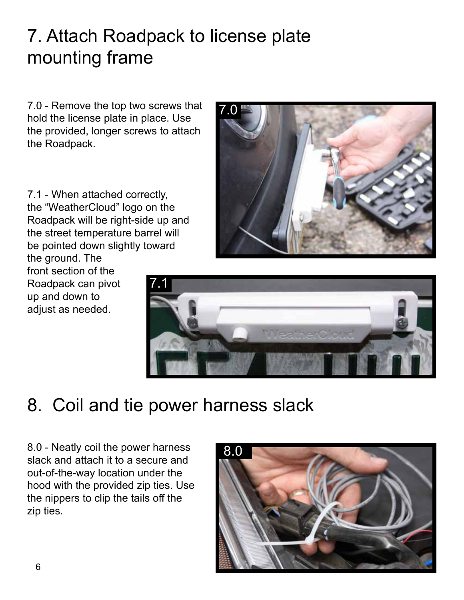#### 7. Attach Roadpack to license plate mounting frame

7.0 - Remove the top two screws that hold the license plate in place. Use the provided, longer screws to attach the Roadpack.

7.1 7.1 - When attached correctly, the "WeatherCloud" logo on the Roadpack will be right-side up and the street temperature barrel will be pointed down slightly toward the ground. The front section of the Roadpack can pivot up and down to adjust as needed.





#### 8. Coil and tie power harness slack

8.0 - Neatly coil the power harness slack and attach it to a secure and out-of-the-way location under the hood with the provided zip ties. Use the nippers to clip the tails off the zip ties.

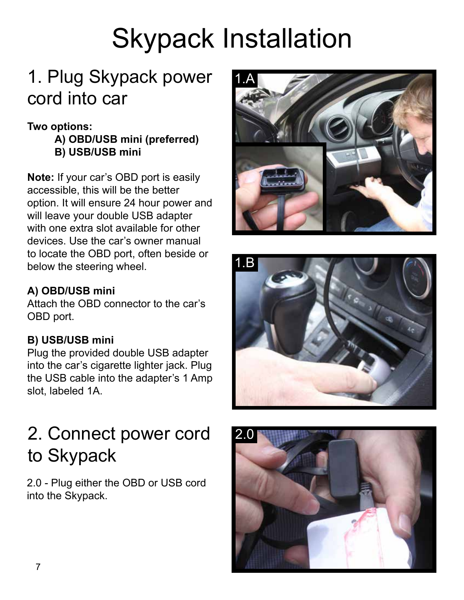# Skypack Installation

### 1. Plug Skypack power cord into car

#### **Two options:**

**A) OBD/USB mini (preferred) B) USB/USB mini**

**Note:** If your car's OBD port is easily accessible, this will be the better option. It will ensure 24 hour power and will leave your double USB adapter with one extra slot available for other devices. Use the car's owner manual to locate the OBD port, often beside or below the steering wheel.

#### **A) OBD/USB mini**

Attach the OBD connector to the car's OBD port.

#### **B) USB/USB mini**

Plug the provided double USB adapter into the car's cigarette lighter jack. Plug the USB cable into the adapter's 1 Amp slot, labeled 1A.





### 2. Connect power cord to Skypack

2.0 - Plug either the OBD or USB cord into the Skypack.

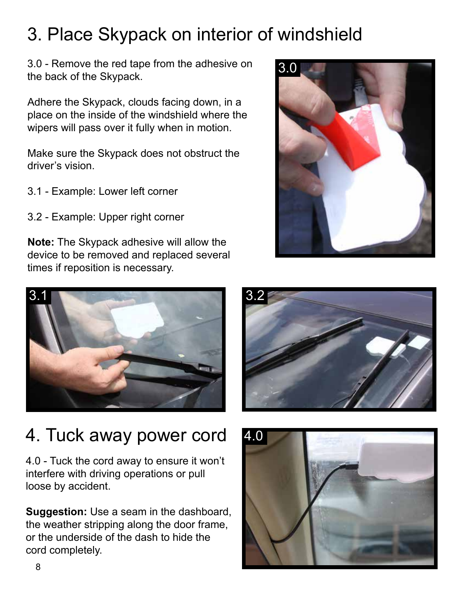#### 3. Place Skypack on interior of windshield

3.0 - Remove the red tape from the adhesive on the back of the Skypack.

Adhere the Skypack, clouds facing down, in a place on the inside of the windshield where the wipers will pass over it fully when in motion.

Make sure the Skypack does not obstruct the driver's vision.

- 3.1 Example: Lower left corner
- 3.2 Example: Upper right corner

**Note:** The Skypack adhesive will allow the device to be removed and replaced several times if reposition is necessary.



#### 4. Tuck away power cord

4.0 - Tuck the cord away to ensure it won't interfere with driving operations or pull loose by accident.

**Suggestion:** Use a seam in the dashboard, the weather stripping along the door frame, or the underside of the dash to hide the cord completely.